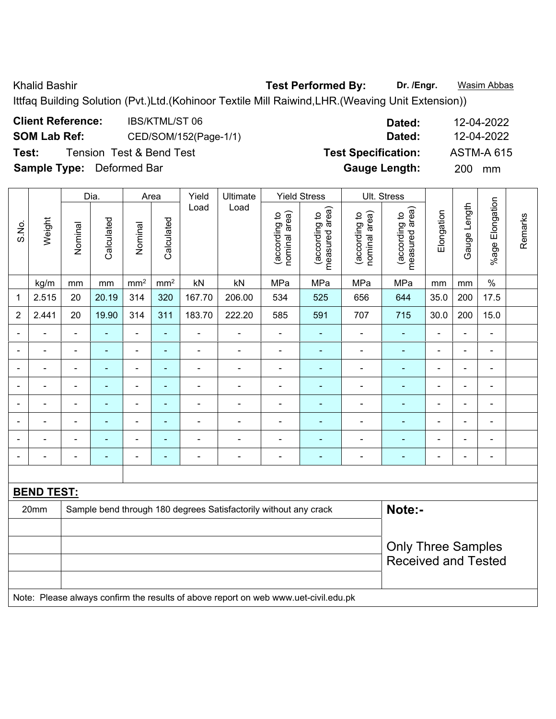Khalid Bashir **Test Performed By:** Dr. /Engr. **Wasim Abbas Company of Test Performed By:** 

Ittfaq Building Solution (Pvt.)Ltd.(Kohinoor Textile Mill Raiwind,LHR.(Weaving Unit Extension))

| <b>Client Reference:</b>         | IBS/KTML/ST 06                      | Dated:                     | 12-04-2022        |
|----------------------------------|-------------------------------------|----------------------------|-------------------|
| <b>SOM Lab Ref:</b>              | CED/SOM/152(Page-1/1)               | Dated:                     | 12-04-2022        |
| Test:                            | <b>Tension Test &amp; Bend Test</b> | <b>Test Specification:</b> | <b>ASTM-A 615</b> |
| <b>Sample Type:</b> Deformed Bar |                                     | <b>Gauge Length:</b>       | <b>200</b><br>mm  |

|                              |                              |                | Dia.                     |                              | Area                                                                                 | Yield                    | Ultimate                                                         |                                | <b>Yield Stress</b>             |                                | Ult. Stress                     |                |                          |                          |         |
|------------------------------|------------------------------|----------------|--------------------------|------------------------------|--------------------------------------------------------------------------------------|--------------------------|------------------------------------------------------------------|--------------------------------|---------------------------------|--------------------------------|---------------------------------|----------------|--------------------------|--------------------------|---------|
| S.No.                        | Weight                       | Nominal        | Calculated               | Nominal                      | Calculated                                                                           | Load                     | Load                                                             | nominal area)<br>(according to | measured area)<br>(according to | (according to<br>nominal area) | measured area)<br>(according to | Elongation     | Gauge Length             | %age Elongation          | Remarks |
|                              | kg/m                         | mm             | mm                       | $\text{mm}^2$                | mm <sup>2</sup>                                                                      | kN                       | kN                                                               | MPa                            | MPa                             | MPa                            | MPa                             | mm             | mm                       | $\%$                     |         |
| 1                            | 2.515                        | 20             | 20.19                    | 314                          | 320                                                                                  | 167.70                   | 206.00                                                           | 534                            | 525                             | 656                            | 644                             | 35.0           | 200                      | 17.5                     |         |
| $\overline{2}$               | 2.441                        | 20             | 19.90                    | 314                          | 311                                                                                  | 183.70                   | 222.20                                                           | 585                            | 591                             | 707                            | 715                             | 30.0           | 200                      | 15.0                     |         |
| $\qquad \qquad \blacksquare$ | ۰                            | $\blacksquare$ | $\overline{\phantom{0}}$ | $\qquad \qquad \blacksquare$ | $\blacksquare$                                                                       | $\blacksquare$           | $\overline{\phantom{a}}$                                         | $\blacksquare$                 | $\overline{\phantom{0}}$        | $\qquad \qquad \blacksquare$   | ۰                               | $\blacksquare$ | $\overline{\phantom{a}}$ | $\overline{\phantom{a}}$ |         |
| $\qquad \qquad \blacksquare$ | $\qquad \qquad \blacksquare$ | $\blacksquare$ | $\overline{\phantom{0}}$ | $\overline{\phantom{a}}$     | ۰                                                                                    | $\overline{\phantom{0}}$ | $\blacksquare$                                                   | $\blacksquare$                 | $\overline{\phantom{0}}$        | ۰                              | ۰                               | $\overline{a}$ | $\blacksquare$           | $\overline{a}$           |         |
| $\qquad \qquad \blacksquare$ | $\qquad \qquad \blacksquare$ | $\blacksquare$ | $\blacksquare$           | $\blacksquare$               | $\blacksquare$                                                                       | $\overline{\phantom{0}}$ | $\blacksquare$                                                   |                                | $\blacksquare$                  | ۰                              | ۰                               | $\overline{a}$ | $\blacksquare$           | $\blacksquare$           |         |
|                              | $\blacksquare$               |                | $\blacksquare$           | $\overline{\phantom{0}}$     | $\overline{a}$                                                                       |                          |                                                                  | -                              |                                 |                                | ۰                               |                | ۰                        | $\blacksquare$           |         |
| $\qquad \qquad \blacksquare$ | $\qquad \qquad \blacksquare$ | $\blacksquare$ | $\blacksquare$           | $\overline{a}$               | ۰                                                                                    | $\blacksquare$           | ۰                                                                | $\overline{a}$                 |                                 | ۰                              | $\overline{\phantom{0}}$        | $\overline{a}$ | -                        | $\overline{a}$           |         |
| $\qquad \qquad \blacksquare$ | $\qquad \qquad \blacksquare$ | $\blacksquare$ | $\blacksquare$           | $\blacksquare$               | $\blacksquare$                                                                       | $\overline{\phantom{0}}$ | $\blacksquare$                                                   | $\blacksquare$                 | $\overline{\phantom{0}}$        | ۰                              | ۰                               | $\blacksquare$ | $\blacksquare$           | $\blacksquare$           |         |
|                              | ۰                            |                | $\blacksquare$           | $\blacksquare$               | $\blacksquare$                                                                       | $\overline{\phantom{0}}$ |                                                                  | -                              | $\overline{a}$                  | ۰                              | $\overline{\phantom{0}}$        |                | $\blacksquare$           | $\blacksquare$           |         |
|                              |                              |                | $\blacksquare$           | $\blacksquare$               | ٠                                                                                    | $\blacksquare$           | $\blacksquare$                                                   | $\overline{a}$                 | $\blacksquare$                  | ۰                              | ۰                               | $\blacksquare$ | $\blacksquare$           | $\blacksquare$           |         |
|                              |                              |                |                          |                              |                                                                                      |                          |                                                                  |                                |                                 |                                |                                 |                |                          |                          |         |
|                              | <b>BEND TEST:</b>            |                |                          |                              |                                                                                      |                          |                                                                  |                                |                                 |                                |                                 |                |                          |                          |         |
|                              | 20mm                         |                |                          |                              |                                                                                      |                          | Sample bend through 180 degrees Satisfactorily without any crack |                                |                                 |                                | Note:-                          |                |                          |                          |         |
|                              |                              |                |                          |                              |                                                                                      |                          |                                                                  |                                |                                 |                                |                                 |                |                          |                          |         |
|                              |                              |                |                          |                              |                                                                                      |                          |                                                                  |                                |                                 |                                | <b>Only Three Samples</b>       |                |                          |                          |         |
|                              |                              |                |                          |                              |                                                                                      |                          |                                                                  |                                |                                 |                                | <b>Received and Tested</b>      |                |                          |                          |         |
|                              |                              |                |                          |                              |                                                                                      |                          |                                                                  |                                |                                 |                                |                                 |                |                          |                          |         |
|                              |                              |                |                          |                              | Note: Please glugue confirm the results of above report on web www.ust givil edu.ple |                          |                                                                  |                                |                                 |                                |                                 |                |                          |                          |         |

Note: Please always confirm the results of above report on web www.uet-civil.edu.pk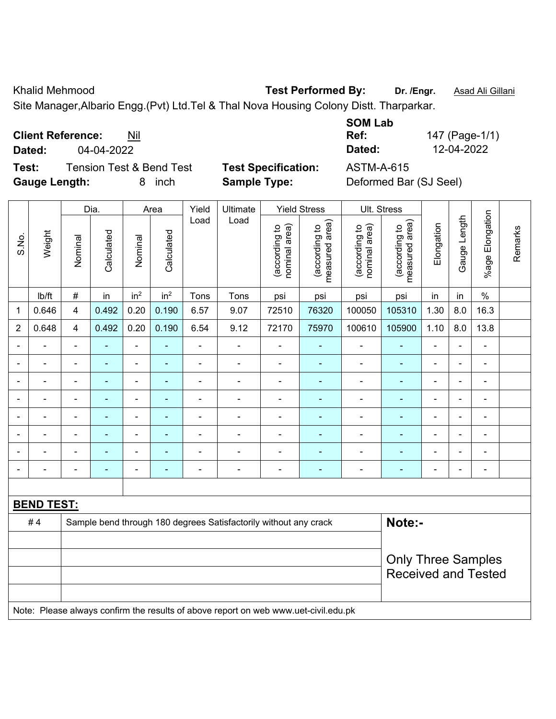Khalid Mehmood **Test Performed By:** Dr. /Engr. **Asad Ali Gillani** Assembly Dr. /Engr. **Asad Ali Gillani** 

Site Manager,Albario Engg.(Pvt) Ltd.Tel & Thal Nova Housing Colony Distt. Tharparkar.

**Client Reference:** Nil

**Dated:** 04-04-2022 **Dated:** 12-04-2022

**Test:** Tension Test & Bend Test **Test Specification:** ASTM-A-615 **Gauge Length:** 8 inch **Sample Type:** Deformed Bar (SJ Seel)

| <b>SOM Lab</b> |                |
|----------------|----------------|
| Ref:           | 147 (Page-1/1) |
| Dated:         | 12-04-2022     |
|                |                |

|                |                   |                         | Dia.                     |                              | Area                     | Yield          | Ultimate                                                                            |                                | <b>Yield Stress</b>             | Ult. Stress                    |                                 |                |                |                       |         |
|----------------|-------------------|-------------------------|--------------------------|------------------------------|--------------------------|----------------|-------------------------------------------------------------------------------------|--------------------------------|---------------------------------|--------------------------------|---------------------------------|----------------|----------------|-----------------------|---------|
| S.No.          | Weight            | Nominal                 | Calculated               | Nominal                      | Calculated               | Load           | Load                                                                                | (according to<br>nominal area) | measured area)<br>(according to | nominal area)<br>(according to | (according to<br>measured area) | Elongation     | Gauge Length   | Elongation<br>$%$ age | Remarks |
|                | lb/ft             | $\#$                    | in                       | in <sup>2</sup>              | in <sup>2</sup>          | Tons           | Tons                                                                                | psi                            | psi                             | psi                            | psi                             | in             | in             | $\frac{0}{0}$         |         |
| 1              | 0.646             | $\overline{\mathbf{4}}$ | 0.492                    | 0.20                         | 0.190                    | 6.57           | 9.07                                                                                | 72510                          | 76320                           | 100050                         | 105310                          | 1.30           | 8.0            | 16.3                  |         |
| $\overline{2}$ | 0.648             | $\overline{\mathbf{4}}$ | 0.492                    | 0.20                         | 0.190                    | 6.54           | 9.12                                                                                | 72170                          | 75970                           | 100610                         | 105900                          | 1.10           | 8.0            | 13.8                  |         |
|                |                   |                         |                          |                              |                          |                |                                                                                     |                                |                                 |                                |                                 |                |                |                       |         |
|                |                   |                         |                          | $\blacksquare$               |                          |                | $\blacksquare$                                                                      |                                |                                 | $\blacksquare$                 |                                 |                |                |                       |         |
| $\blacksquare$ |                   | $\blacksquare$          | $\overline{\phantom{0}}$ | $\blacksquare$               | $\blacksquare$           | ÷              | $\blacksquare$                                                                      | $\blacksquare$                 | $\blacksquare$                  | $\blacksquare$                 | ٠                               | L,             | $\blacksquare$ | $\blacksquare$        |         |
| ۰              |                   | $\blacksquare$          |                          | $\blacksquare$               |                          |                | $\blacksquare$                                                                      | $\blacksquare$                 |                                 | $\blacksquare$                 | ٠                               | $\blacksquare$ |                | $\blacksquare$        |         |
| $\blacksquare$ |                   | $\blacksquare$          | $\blacksquare$           | $\qquad \qquad \blacksquare$ | $\blacksquare$           | ÷              | $\overline{\phantom{a}}$                                                            | $\blacksquare$                 | $\blacksquare$                  | $\blacksquare$                 | ÷                               | L,             |                | $\blacksquare$        |         |
|                |                   | $\blacksquare$          |                          | $\blacksquare$               |                          |                | $\blacksquare$                                                                      |                                |                                 |                                |                                 |                |                | ä,                    |         |
|                |                   |                         |                          | ۰                            |                          |                | $\blacksquare$                                                                      |                                |                                 |                                |                                 |                |                | $\blacksquare$        |         |
| $\blacksquare$ |                   | $\blacksquare$          | $\overline{\phantom{0}}$ | ۰                            | $\overline{\phantom{0}}$ | $\blacksquare$ | $\blacksquare$                                                                      | $\overline{a}$                 | $\overline{\phantom{a}}$        | $\overline{\phantom{a}}$       | $\overline{\phantom{0}}$        | $\blacksquare$ |                | $\blacksquare$        |         |
|                |                   |                         |                          |                              |                          |                |                                                                                     |                                |                                 |                                |                                 |                |                |                       |         |
|                | <b>BEND TEST:</b> |                         |                          |                              |                          |                |                                                                                     |                                |                                 |                                |                                 |                |                |                       |         |
|                | #4                |                         |                          |                              |                          |                | Sample bend through 180 degrees Satisfactorily without any crack                    |                                |                                 |                                | Note:-                          |                |                |                       |         |
|                |                   |                         |                          |                              |                          |                |                                                                                     |                                |                                 |                                |                                 |                |                |                       |         |
|                |                   |                         |                          |                              |                          |                | <b>Only Three Samples</b>                                                           |                                |                                 |                                |                                 |                |                |                       |         |
|                |                   |                         |                          |                              |                          |                |                                                                                     |                                |                                 |                                | <b>Received and Tested</b>      |                |                |                       |         |
|                |                   |                         |                          |                              |                          |                |                                                                                     |                                |                                 |                                |                                 |                |                |                       |         |
|                |                   |                         |                          |                              |                          |                | Note: Please always confirm the results of above report on web www.uet-civil.edu.pk |                                |                                 |                                |                                 |                |                |                       |         |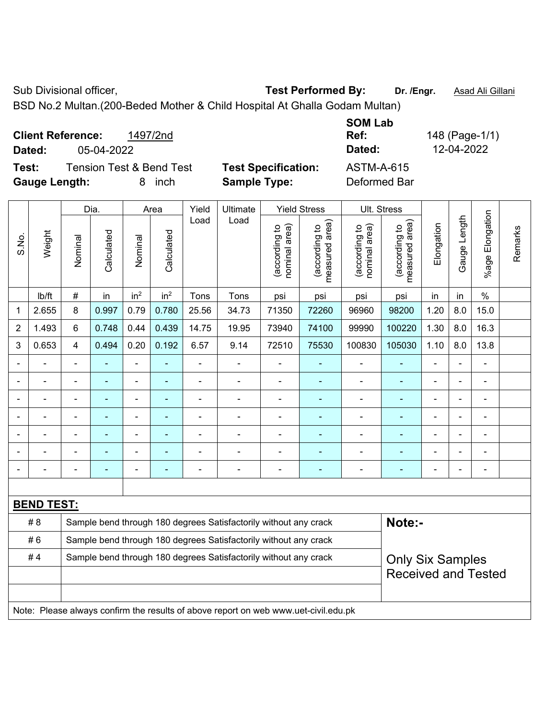Sub Divisional officer, **Test Performed By:** Dr. /Engr. **Asad Ali Gillani** Cub Divisional officer,

BSD No.2 Multan.(200-Beded Mother & Child Hospital At Ghalla Godam Multan)

| <b>Client Reference:</b><br>1497/2nd<br>05-04-2022<br>Dated:                      |                                                   | <b>SOM Lab</b><br>Ref:<br>Dated: | 148 (Page-1/1)<br>12-04-2022 |
|-----------------------------------------------------------------------------------|---------------------------------------------------|----------------------------------|------------------------------|
| <b>Tension Test &amp; Bend Test</b><br>Test:<br><b>Gauge Length:</b><br>inch<br>8 | <b>Test Specification:</b><br><b>Sample Type:</b> | ASTM-A-615<br>Deformed Bar       |                              |

|                |                   |                | Dia.                     |                                                                                     | Area            | Yield          | Ultimate                                                         |                                | <b>Yield Stress</b>             |                                | Ult. Stress                                 |                |                |                 |         |
|----------------|-------------------|----------------|--------------------------|-------------------------------------------------------------------------------------|-----------------|----------------|------------------------------------------------------------------|--------------------------------|---------------------------------|--------------------------------|---------------------------------------------|----------------|----------------|-----------------|---------|
| S.No.          | Weight            | Nominal        | Calculated               | Nominal                                                                             | Calculated      | Load           | Load                                                             | nominal area)<br>(according to | (according to<br>measured area) | (according to<br>nominal area) | (according to<br>neasured area)<br>measured | Elongation     | Gauge Length   | %age Elongation | Remarks |
|                | Ib/ft             | $\#$           | in                       | in <sup>2</sup>                                                                     | in <sup>2</sup> | Tons           | Tons                                                             | psi                            | psi                             | psi                            | psi                                         | in             | in             | $\%$            |         |
| 1              | 2.655             | 8              | 0.997                    | 0.79                                                                                | 0.780           | 25.56          | 34.73                                                            | 71350                          | 72260                           | 96960                          | 98200                                       | 1.20           | 8.0            | 15.0            |         |
| $\overline{2}$ | 1.493             | $6\phantom{a}$ | 0.748                    | 0.44                                                                                | 0.439           | 14.75          | 19.95                                                            | 73940                          | 74100                           | 99990                          | 100220                                      | 1.30           | 8.0            | 16.3            |         |
| 3              | 0.653             | $\overline{4}$ | 0.494                    | 0.20                                                                                | 0.192           | 6.57           | 9.14                                                             | 72510                          | 75530                           | 100830                         | 105030                                      | 1.10           | 8.0            | 13.8            |         |
|                |                   | $\blacksquare$ | ÷,                       | ÷,                                                                                  |                 | ÷,             | ÷,                                                               | ä,                             | ÷                               | ÷,                             | $\blacksquare$                              |                |                | $\blacksquare$  |         |
|                |                   |                | ÷                        | $\blacksquare$                                                                      |                 |                | $\overline{\phantom{0}}$                                         | ä,                             |                                 | $\blacksquare$                 | $\sim$                                      | $\overline{a}$ |                | $\blacksquare$  |         |
|                |                   |                | ۰                        | ۰                                                                                   |                 |                | $\blacksquare$                                                   | $\overline{a}$                 |                                 |                                | $\overline{\phantom{a}}$                    |                |                |                 |         |
|                |                   |                | ÷,                       | ÷                                                                                   |                 |                | $\blacksquare$                                                   |                                | ۰                               | $\blacksquare$                 |                                             |                |                | $\blacksquare$  |         |
| $\blacksquare$ | $\blacksquare$    | $\blacksquare$ | $\overline{\phantom{0}}$ | ÷                                                                                   |                 |                | $\blacksquare$                                                   | ä,                             | ۰                               | $\blacksquare$                 | ۰                                           | Ē,             | $\blacksquare$ | $\blacksquare$  |         |
|                |                   |                | ۰                        | ÷,                                                                                  |                 |                | $\blacksquare$                                                   | ä,                             |                                 | $\overline{\phantom{a}}$       | ÷                                           |                |                | $\blacksquare$  |         |
|                |                   |                | ٠                        | ÷,                                                                                  |                 | $\blacksquare$ | $\blacksquare$                                                   | ä,                             | ۰                               | $\overline{\phantom{a}}$       | $\blacksquare$                              | Ē,             |                | $\blacksquare$  |         |
|                |                   |                |                          |                                                                                     |                 |                |                                                                  |                                |                                 |                                |                                             |                |                |                 |         |
|                | <b>BEND TEST:</b> |                |                          |                                                                                     |                 |                |                                                                  |                                |                                 |                                |                                             |                |                |                 |         |
|                | # 8               |                |                          |                                                                                     |                 |                | Sample bend through 180 degrees Satisfactorily without any crack |                                |                                 |                                | Note:-                                      |                |                |                 |         |
|                | #6                |                |                          |                                                                                     |                 |                | Sample bend through 180 degrees Satisfactorily without any crack |                                |                                 |                                |                                             |                |                |                 |         |
|                | #4                |                |                          |                                                                                     |                 |                | Sample bend through 180 degrees Satisfactorily without any crack |                                |                                 |                                | <b>Only Six Samples</b>                     |                |                |                 |         |
|                |                   |                |                          |                                                                                     |                 |                |                                                                  |                                |                                 |                                | <b>Received and Tested</b>                  |                |                |                 |         |
|                |                   |                |                          | Note: Please always confirm the results of above report on web www.uet-civil.edu.pk |                 |                |                                                                  |                                |                                 |                                |                                             |                |                |                 |         |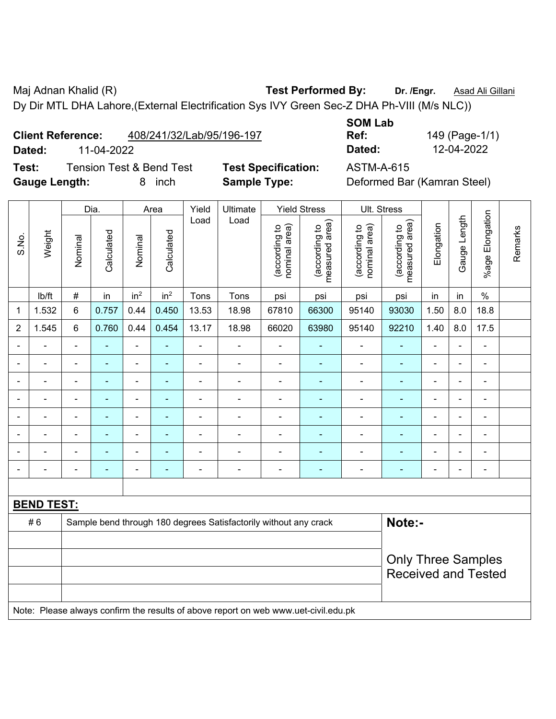Maj Adnan Khalid (R) **Test Performed By:** Dr. /Engr. **Asad Ali Gillani** Associates And Ali Gillani Dy Dir MTL DHA Lahore,(External Electrification Sys IVY Green Sec-Z DHA Ph-VIII (M/s NLC))

**Client Reference:** 408/241/32/Lab/95/196-197

**Test:** Tension Test & Bend Test **Test Specification:** ASTM-A-615 **Gauge Length:** 8 inch **Sample Type:** Deformed Bar (Kamran Steel)

**SOM Lab Ref:** 149 (Page-1/1) **Dated:** 11-04-2022 **Dated:** 12-04-2022

|                |                          |                | Dia.           |                 | Area            | Yield          | Ultimate                                                                            |                               | <b>Yield Stress</b>             |                                | Ult. Stress                     |                |                |                 |         |
|----------------|--------------------------|----------------|----------------|-----------------|-----------------|----------------|-------------------------------------------------------------------------------------|-------------------------------|---------------------------------|--------------------------------|---------------------------------|----------------|----------------|-----------------|---------|
| S.No.          | Weight                   | Nominal        | Calculated     | Nominal         | Calculated      | Load           | Load                                                                                | nominal area)<br>according to | measured area)<br>(according to | nominal area)<br>(according to | (according to<br>measured area) | Elongation     | Gauge Length   | %age Elongation | Remarks |
|                | Ib/ft                    | $\#$           | in             | in <sup>2</sup> | in <sup>2</sup> | Tons           | Tons                                                                                | psi                           | psi                             | psi                            | psi                             | in             | in             | $\%$            |         |
| 1              | 1.532                    | 6              | 0.757          | 0.44            | 0.450           | 13.53          | 18.98                                                                               | 67810                         | 66300                           | 95140                          | 93030                           | 1.50           | 8.0            | 18.8            |         |
| $\overline{2}$ | 1.545                    | $\,6$          | 0.760          | 0.44            | 0.454           | 13.17          | 18.98                                                                               | 66020                         | 63980                           | 95140                          | 92210                           | 1.40           | 8.0            | 17.5            |         |
| $\blacksquare$ |                          | ä,             | $\blacksquare$ | ÷               | ÷,              | $\blacksquare$ | $\overline{\phantom{a}}$                                                            | $\blacksquare$                | $\blacksquare$                  |                                | $\blacksquare$                  | L,             |                | ÷,              |         |
|                |                          | $\blacksquare$ | $\sim$         |                 |                 | $\overline{a}$ | $\blacksquare$                                                                      | $\blacksquare$                | ۰                               | $\blacksquare$                 | $\blacksquare$                  | $\overline{a}$ |                | $\blacksquare$  |         |
|                |                          | $\blacksquare$ |                |                 |                 |                |                                                                                     |                               |                                 |                                |                                 |                |                | $\blacksquare$  |         |
| $\blacksquare$ | ÷                        | $\blacksquare$ | ÷              | $\blacksquare$  | ۰               | $\blacksquare$ | $\blacksquare$                                                                      | $\blacksquare$                | ۰                               | $\blacksquare$                 | $\blacksquare$                  | $\blacksquare$ | $\blacksquare$ | $\blacksquare$  |         |
| $\blacksquare$ | $\overline{\phantom{0}}$ | $\blacksquare$ | $\blacksquare$ | $\blacksquare$  | $\blacksquare$  | $\blacksquare$ | ۰                                                                                   | $\blacksquare$                | $\blacksquare$                  | $\blacksquare$                 | $\blacksquare$                  | $\blacksquare$ |                | $\blacksquare$  |         |
| $\blacksquare$ | ÷                        | $\blacksquare$ | $\blacksquare$ | $\blacksquare$  | $\blacksquare$  | $\blacksquare$ | $\blacksquare$                                                                      | Ē,                            | $\blacksquare$                  | $\overline{\phantom{a}}$       | $\blacksquare$                  | ä,             |                | $\blacksquare$  |         |
|                |                          | $\blacksquare$ | $\overline{a}$ |                 |                 |                | $\blacksquare$                                                                      | L,                            | $\blacksquare$                  | $\blacksquare$                 | ä,                              |                |                | $\blacksquare$  |         |
|                |                          |                |                |                 |                 |                | $\blacksquare$                                                                      |                               |                                 |                                |                                 |                |                | $\blacksquare$  |         |
|                |                          |                |                |                 |                 |                |                                                                                     |                               |                                 |                                |                                 |                |                |                 |         |
|                | <b>BEND TEST:</b>        |                |                |                 |                 |                |                                                                                     |                               |                                 |                                |                                 |                |                |                 |         |
|                | #6                       |                |                |                 |                 |                | Sample bend through 180 degrees Satisfactorily without any crack                    |                               |                                 |                                | Note:-                          |                |                |                 |         |
|                |                          |                |                |                 |                 |                |                                                                                     |                               |                                 |                                |                                 |                |                |                 |         |
|                |                          |                |                |                 |                 |                |                                                                                     |                               |                                 |                                | <b>Only Three Samples</b>       |                |                |                 |         |
|                |                          |                |                |                 |                 |                |                                                                                     |                               |                                 |                                | <b>Received and Tested</b>      |                |                |                 |         |
|                |                          |                |                |                 |                 |                |                                                                                     |                               |                                 |                                |                                 |                |                |                 |         |
|                |                          |                |                |                 |                 |                | Note: Please always confirm the results of above report on web www.uet-civil.edu.pk |                               |                                 |                                |                                 |                |                |                 |         |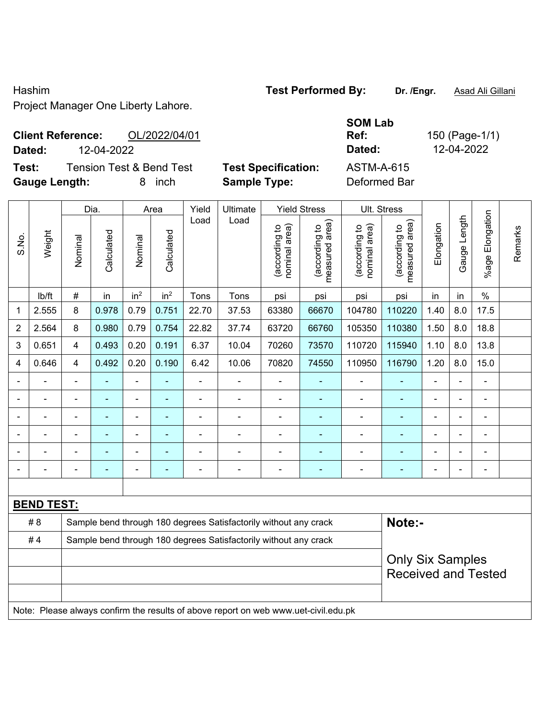## Hashim **Test Performed By:** Dr. /Engr. **Asad Ali Gillani** Project Manager One Liberty Lahore.

## **Client Reference:** OL/2022/04/01 **Dated:** 12-04-2022 **Dated:** 12-04-2022

**Test:** Tension Test & Bend Test **Test Specification:** ASTM-A-615 **Gauge Length:** 8 inch **Sample Type:** Deformed Bar

**SOM Lab Ref:** 150 (Page-1/1)

|                          |                   |                | Dia.       |                              | Area            |                          | Yield<br>Ultimate                                                                   | <b>Yield Stress</b>            |                                 | Ult. Stress                    |                                 |                |                |                          |         |
|--------------------------|-------------------|----------------|------------|------------------------------|-----------------|--------------------------|-------------------------------------------------------------------------------------|--------------------------------|---------------------------------|--------------------------------|---------------------------------|----------------|----------------|--------------------------|---------|
| S.No.                    | Weight            | Nominal        | Calculated | Nominal                      | Calculated      | Load                     | Load                                                                                | nominal area)<br>(according to | (according to<br>measured area) | (according to<br>nominal area) | (according to<br>measured area) | Elongation     | Gauge Length   | Elongation<br>%age       | Remarks |
|                          | lb/ft             | #              | in         | in <sup>2</sup>              | in <sup>2</sup> | Tons                     | Tons                                                                                | psi                            | psi                             | psi                            | psi                             | in             | in             | $\frac{0}{0}$            |         |
| 1                        | 2.555             | 8              | 0.978      | 0.79                         | 0.751           | 22.70                    | 37.53                                                                               | 63380                          | 66670                           | 104780                         | 110220                          | 1.40           | 8.0            | 17.5                     |         |
| $\overline{2}$           | 2.564             | 8              | 0.980      | 0.79                         | 0.754           | 22.82                    | 37.74                                                                               | 63720                          | 66760                           | 105350                         | 110380                          | 1.50           | 8.0            | 18.8                     |         |
| 3                        | 0.651             | 4              | 0.493      | 0.20                         | 0.191           | 6.37                     | 10.04                                                                               | 70260                          | 73570                           | 110720                         | 115940                          | 1.10           | 8.0            | 13.8                     |         |
| 4                        | 0.646             | 4              | 0.492      | 0.20                         | 0.190           | 6.42                     | 10.06                                                                               | 70820                          | 74550                           | 110950                         | 116790                          | 1.20           | 8.0            | 15.0                     |         |
| $\overline{\phantom{0}}$ |                   | L.             | ä,         | ä,                           |                 | L,                       | ä,                                                                                  | ä,                             | $\blacksquare$                  | $\blacksquare$                 |                                 |                | ä,             | $\blacksquare$           |         |
|                          |                   | $\blacksquare$ | ä,         | $\qquad \qquad \blacksquare$ |                 | $\overline{\phantom{a}}$ | $\overline{a}$                                                                      | $\blacksquare$                 | $\blacksquare$                  | $\overline{\phantom{a}}$       | ÷                               | ä,             | $\blacksquare$ | $\overline{\phantom{a}}$ |         |
|                          |                   | $\blacksquare$ | ä,         | $\blacksquare$               | $\blacksquare$  | L,                       | $\blacksquare$                                                                      | $\blacksquare$                 | $\blacksquare$                  | $\blacksquare$                 | ۰                               | $\blacksquare$ | L.             | $\blacksquare$           |         |
|                          |                   | $\blacksquare$ | ÷          | $\overline{a}$               |                 |                          | $\overline{a}$                                                                      | $\blacksquare$                 |                                 | $\blacksquare$                 |                                 |                |                |                          |         |
|                          |                   |                |            |                              |                 |                          |                                                                                     | $\blacksquare$                 |                                 |                                |                                 |                |                |                          |         |
|                          |                   | $\blacksquare$ | ÷          | $\blacksquare$               | $\blacksquare$  | ä,                       | $\blacksquare$                                                                      | $\blacksquare$                 | $\blacksquare$                  | $\overline{\phantom{a}}$       | ÷                               | $\blacksquare$ | $\blacksquare$ | $\blacksquare$           |         |
|                          |                   |                |            |                              |                 |                          |                                                                                     |                                |                                 |                                |                                 |                |                |                          |         |
|                          | <b>BEND TEST:</b> |                |            |                              |                 |                          |                                                                                     |                                |                                 |                                |                                 |                |                |                          |         |
|                          | # 8               |                |            |                              |                 |                          | Sample bend through 180 degrees Satisfactorily without any crack                    |                                |                                 |                                | Note:-                          |                |                |                          |         |
|                          | #4                |                |            |                              |                 |                          | Sample bend through 180 degrees Satisfactorily without any crack                    |                                |                                 |                                |                                 |                |                |                          |         |
|                          |                   |                |            |                              |                 |                          | <b>Only Six Samples</b>                                                             |                                |                                 |                                |                                 |                |                |                          |         |
|                          |                   |                |            |                              |                 |                          |                                                                                     |                                |                                 |                                | <b>Received and Tested</b>      |                |                |                          |         |
|                          |                   |                |            |                              |                 |                          |                                                                                     |                                |                                 |                                |                                 |                |                |                          |         |
|                          |                   |                |            |                              |                 |                          | Note: Please always confirm the results of above report on web www.uet-civil.edu.pk |                                |                                 |                                |                                 |                |                |                          |         |